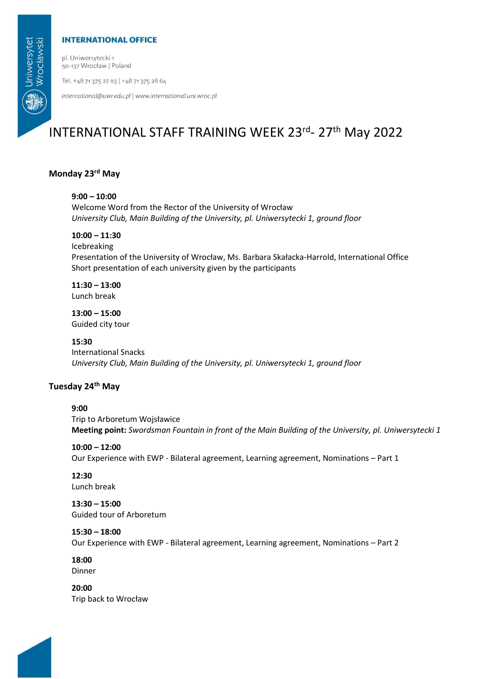## **INTERNATIONAL OFFICE**

pl. Uniwersytecki 1 50-137 Wrocław | Poland

Tel. +48 71 375 27 03 | +48 71 375 28 64

international@uwr.edu.pl | www.international.uni.wroc.pl

# INTERNATIONAL STAFF TRAINING WEEK 23rd- 27th May 2022

# **Monday 23rd May**

#### **9:00 – 10:00**

Welcome Word from the Rector of the University of Wrocław *University Club, Main Building of the University, pl. Uniwersytecki 1, ground floor*

# **10:00 – 11:30**

Icebreaking Presentation of the University of Wrocław, Ms. Barbara Skałacka-Harrold, International Office Short presentation of each university given by the participants

**11:30 – 13:00** Lunch break

**13:00 – 15:00** Guided city tour

**15:30**

# International Snacks

*University Club, Main Building of the University, pl. Uniwersytecki 1, ground floor*

# **Tuesday 24th May**

#### **9:00**

Trip to Arboretum Wojsławice **Meeting point:** *Swordsman Fountain in front of the Main Building of the University, pl. Uniwersytecki 1*

#### **10:00 – 12:00**

Our Experience with EWP - Bilateral agreement, Learning agreement, Nominations – Part 1

## **12:30**

Lunch break

**13:30 – 15:00** Guided tour of Arboretum

#### **15:30 – 18:00**

Our Experience with EWP - Bilateral agreement, Learning agreement, Nominations – Part 2

#### **18:00** Dinner

**20:00** Trip back to Wrocław